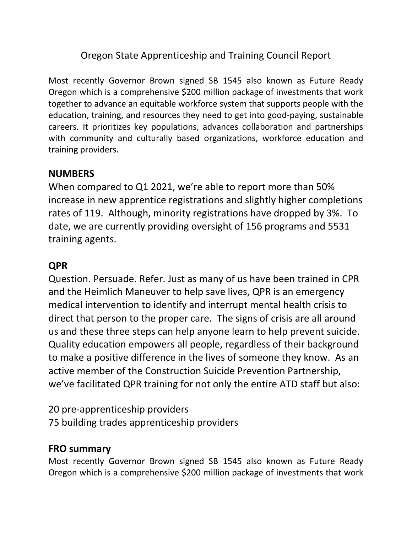## Oregon State Apprenticeship and Training Council Report

Most recently Governor Brown signed SB 1545 also known as Future Ready Oregon which is a comprehensive \$200 million package of investments that work together to advance an equitable workforce system that supports people with the education, training, and resources they need to get into good-paying, sustainable careers. It prioritizes key populations, advances collaboration and partnerships with community and culturally based organizations, workforce education and training providers.

#### **NUMBERS**

When compared to Q1 2021, we're able to report more than 50% increase in new apprentice registrations and slightly higher completions rates of 119. Although, minority registrations have dropped by 3%. To date, we are currently providing oversight of 156 programs and 5531 training agents.

### **QPR**

Question. Persuade. Refer. Just as many of us have been trained in CPR and the Heimlich Maneuver to help save lives, QPR is an emergency medical intervention to identify and interrupt mental health crisis to direct that person to the proper care. The signs of crisis are all around us and these three steps can help anyone learn to help prevent suicide. Quality education empowers all people, regardless of their background to make a positive difference in the lives of someone they know. As an active member of the Construction Suicide Prevention Partnership, we've facilitated QPR training for not only the entire ATD staff but also:

20 pre-apprenticeship providers  75 building trades apprenticeship providers

### **FRO summary**

Most recently Governor Brown signed SB 1545 also known as Future Ready Oregon which is a comprehensive \$200 million package of investments that work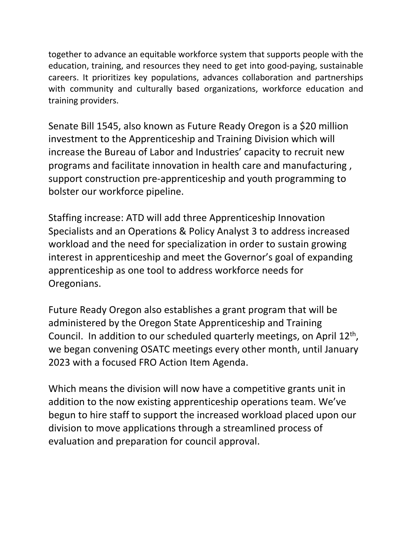together to advance an equitable workforce system that supports people with the education, training, and resources they need to get into good-paying, sustainable careers. It prioritizes key populations, advances collaboration and partnerships with community and culturally based organizations, workforce education and training providers.

Senate Bill 1545, also known as Future Ready Oregon is a \$20 million investment to the Apprenticeship and Training Division which will increase the Bureau of Labor and Industries' capacity to recruit new programs and facilitate innovation in health care and manufacturing , support construction pre-apprenticeship and youth programming to bolster our workforce pipeline.

Staffing increase: ATD will add three Apprenticeship Innovation Specialists and an Operations & Policy Analyst 3 to address increased workload and the need for specialization in order to sustain growing interest in apprenticeship and meet the Governor's goal of expanding apprenticeship as one tool to address workforce needs for Oregonians.

Future Ready Oregon also establishes a grant program that will be administered by the Oregon State Apprenticeship and Training Council. In addition to our scheduled quarterly meetings, on April 12th, we began convening OSATC meetings every other month, until January 2023 with a focused FRO Action Item Agenda.

Which means the division will now have a competitive grants unit in addition to the now existing apprenticeship operations team. We've begun to hire staff to support the increased workload placed upon our division to move applications through a streamlined process of evaluation and preparation for council approval.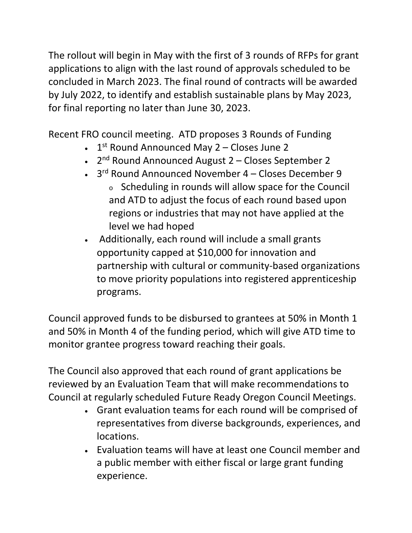The rollout will begin in May with the first of 3 rounds of RFPs for grant applications to align with the last round of approvals scheduled to be concluded in March 2023. The final round of contracts will be awarded by July 2022, to identify and establish sustainable plans by May 2023, for final reporting no later than June 30, 2023.

Recent FRO council meeting. ATD proposes 3 Rounds of Funding

- $\cdot$  1<sup>st</sup> Round Announced May 2 Closes June 2
- 2nd Round Announced August 2 Closes September 2
- 3rd Round Announced November 4 Closes December 9 <sup>o</sup> Scheduling in rounds will allow space for the Council and ATD to adjust the focus of each round based upon regions or industries that may not have applied at the level we had hoped
- Additionally, each round will include a small grants opportunity capped at \$10,000 for innovation and partnership with cultural or community-based organizations to move priority populations into registered apprenticeship programs.

Council approved funds to be disbursed to grantees at 50% in Month 1 and 50% in Month 4 of the funding period, which will give ATD time to monitor grantee progress toward reaching their goals.

The Council also approved that each round of grant applications be reviewed by an Evaluation Team that will make recommendations to Council at regularly scheduled Future Ready Oregon Council Meetings.

- Grant evaluation teams for each round will be comprised of representatives from diverse backgrounds, experiences, and locations.
- Evaluation teams will have at least one Council member and a public member with either fiscal or large grant funding experience.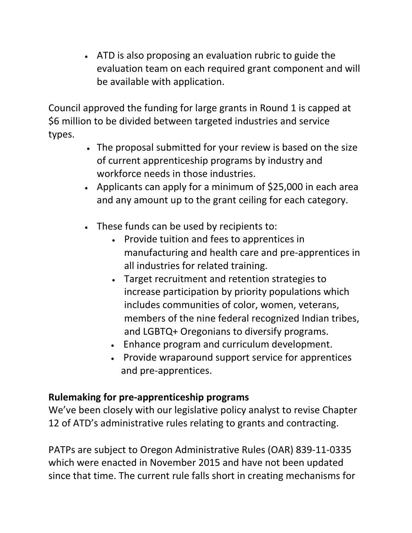• ATD is also proposing an evaluation rubric to guide the evaluation team on each required grant component and will be available with application.

Council approved the funding for large grants in Round 1 is capped at \$6 million to be divided between targeted industries and service types.

- The proposal submitted for your review is based on the size of current apprenticeship programs by industry and workforce needs in those industries.
- Applicants can apply for a minimum of \$25,000 in each area and any amount up to the grant ceiling for each category.
- These funds can be used by recipients to:
	- Provide tuition and fees to apprentices in manufacturing and health care and pre-apprentices in all industries for related training.
	- Target recruitment and retention strategies to increase participation by priority populations which includes communities of color, women, veterans, members of the nine federal recognized Indian tribes, and LGBTQ+ Oregonians to diversify programs.
	- Enhance program and curriculum development.
	- Provide wraparound support service for apprentices and pre-apprentices.

# **Rulemaking for pre-apprenticeship programs**

We've been closely with our legislative policy analyst to revise Chapter 12 of ATD's administrative rules relating to grants and contracting.

PATPs are subject to Oregon Administrative Rules (OAR) 839-11-0335 which were enacted in November 2015 and have not been updated since that time. The current rule falls short in creating mechanisms for